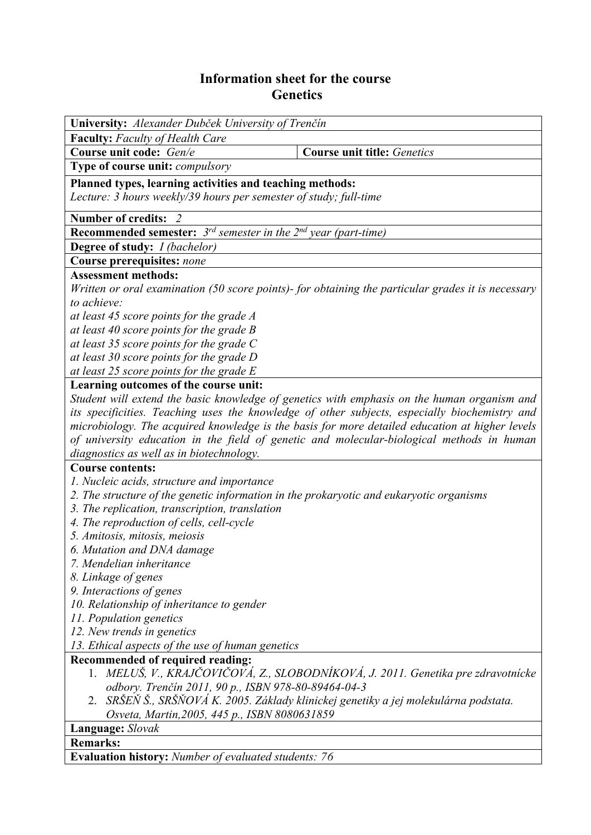## **Information sheet for the course Genetics**

| University: Alexander Dubček University of Trenčín                                                                                             |                                                                                                    |  |  |  |  |  |
|------------------------------------------------------------------------------------------------------------------------------------------------|----------------------------------------------------------------------------------------------------|--|--|--|--|--|
| Faculty: Faculty of Health Care                                                                                                                |                                                                                                    |  |  |  |  |  |
| Course unit code: Gen/e                                                                                                                        | <b>Course unit title: Genetics</b>                                                                 |  |  |  |  |  |
| Type of course unit: compulsory                                                                                                                |                                                                                                    |  |  |  |  |  |
| Planned types, learning activities and teaching methods:                                                                                       |                                                                                                    |  |  |  |  |  |
| Lecture: 3 hours weekly/39 hours per semester of study; full-time                                                                              |                                                                                                    |  |  |  |  |  |
| <b>Number of credits:</b><br>- 2                                                                                                               |                                                                                                    |  |  |  |  |  |
| <b>Recommended semester:</b> $3^{rd}$ semester in the $2^{nd}$ year (part-time)                                                                |                                                                                                    |  |  |  |  |  |
| <b>Degree of study:</b> <i>I (bachelor)</i>                                                                                                    |                                                                                                    |  |  |  |  |  |
| Course prerequisites: none                                                                                                                     |                                                                                                    |  |  |  |  |  |
| <b>Assessment methods:</b>                                                                                                                     |                                                                                                    |  |  |  |  |  |
|                                                                                                                                                | Written or oral examination (50 score points)- for obtaining the particular grades it is necessary |  |  |  |  |  |
| to achieve:                                                                                                                                    |                                                                                                    |  |  |  |  |  |
| at least 45 score points for the grade A                                                                                                       |                                                                                                    |  |  |  |  |  |
| at least 40 score points for the grade B                                                                                                       |                                                                                                    |  |  |  |  |  |
| at least 35 score points for the grade $C$                                                                                                     |                                                                                                    |  |  |  |  |  |
| at least 30 score points for the grade D                                                                                                       |                                                                                                    |  |  |  |  |  |
| at least 25 score points for the grade E                                                                                                       |                                                                                                    |  |  |  |  |  |
| Learning outcomes of the course unit:                                                                                                          |                                                                                                    |  |  |  |  |  |
|                                                                                                                                                | Student will extend the basic knowledge of genetics with emphasis on the human organism and        |  |  |  |  |  |
| its specificities. Teaching uses the knowledge of other subjects, especially biochemistry and                                                  |                                                                                                    |  |  |  |  |  |
|                                                                                                                                                | microbiology. The acquired knowledge is the basis for more detailed education at higher levels     |  |  |  |  |  |
|                                                                                                                                                | of university education in the field of genetic and molecular-biological methods in human          |  |  |  |  |  |
| diagnostics as well as in biotechnology.<br><b>Course contents:</b>                                                                            |                                                                                                    |  |  |  |  |  |
| 1. Nucleic acids, structure and importance                                                                                                     |                                                                                                    |  |  |  |  |  |
| 2. The structure of the genetic information in the prokaryotic and eukaryotic organisms                                                        |                                                                                                    |  |  |  |  |  |
| 3. The replication, transcription, translation                                                                                                 |                                                                                                    |  |  |  |  |  |
| 4. The reproduction of cells, cell-cycle                                                                                                       |                                                                                                    |  |  |  |  |  |
|                                                                                                                                                |                                                                                                    |  |  |  |  |  |
| 5. Amitosis, mitosis, meiosis<br>6. Mutation and DNA damage                                                                                    |                                                                                                    |  |  |  |  |  |
| 7. Mendelian inheritance                                                                                                                       |                                                                                                    |  |  |  |  |  |
| 8. Linkage of genes                                                                                                                            |                                                                                                    |  |  |  |  |  |
| 9. Interactions of genes                                                                                                                       |                                                                                                    |  |  |  |  |  |
| 10. Relationship of inheritance to gender                                                                                                      |                                                                                                    |  |  |  |  |  |
| 11. Population genetics                                                                                                                        |                                                                                                    |  |  |  |  |  |
| 12. New trends in genetics                                                                                                                     |                                                                                                    |  |  |  |  |  |
| 13. Ethical aspects of the use of human genetics                                                                                               |                                                                                                    |  |  |  |  |  |
| Recommended of required reading:                                                                                                               |                                                                                                    |  |  |  |  |  |
| 1. MELUŠ, V., KRAJČOVIČOVÁ, Z., SLOBODNÍKOVÁ, J. 2011. Genetika pre zdravotnícke                                                               |                                                                                                    |  |  |  |  |  |
| odbory. Trenčín 2011, 90 p., ISBN 978-80-89464-04-3<br>SRŠEŇ Š., SRŠŇOVÁ K. 2005. Základy klinickej genetiky a jej molekulárna podstata.<br>2. |                                                                                                    |  |  |  |  |  |
| Osveta, Martin, 2005, 445 p., ISBN 8080631859                                                                                                  |                                                                                                    |  |  |  |  |  |
| Language: Slovak                                                                                                                               |                                                                                                    |  |  |  |  |  |
| <b>Remarks:</b>                                                                                                                                |                                                                                                    |  |  |  |  |  |
|                                                                                                                                                |                                                                                                    |  |  |  |  |  |
| <b>Evaluation history:</b> Number of evaluated students: 76                                                                                    |                                                                                                    |  |  |  |  |  |
|                                                                                                                                                |                                                                                                    |  |  |  |  |  |